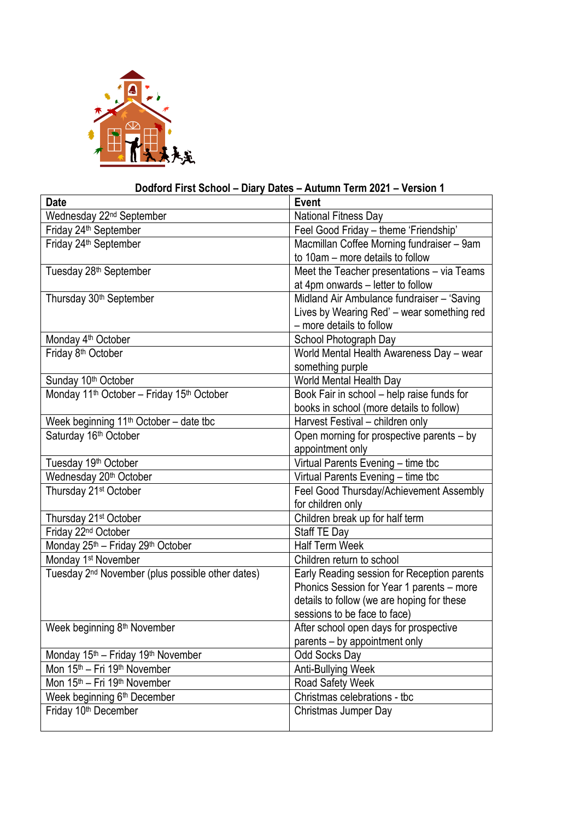

## **Dodford First School – Diary Dates – Autumn Term 2021 – Version 1**

| <b>Date</b>                                                       | <b>Event</b>                                |
|-------------------------------------------------------------------|---------------------------------------------|
| Wednesday 22 <sup>nd</sup> September                              | National Fitness Day                        |
| Friday 24 <sup>th</sup> September                                 | Feel Good Friday - theme 'Friendship'       |
| Friday 24 <sup>th</sup> September                                 | Macmillan Coffee Morning fundraiser - 9am   |
|                                                                   | to 10am - more details to follow            |
| Tuesday 28 <sup>th</sup> September                                | Meet the Teacher presentations - via Teams  |
|                                                                   | at 4pm onwards - letter to follow           |
| Thursday 30 <sup>th</sup> September                               | Midland Air Ambulance fundraiser - 'Saving  |
|                                                                   | Lives by Wearing Red' - wear something red  |
|                                                                   | - more details to follow                    |
| Monday 4 <sup>th</sup> October                                    | School Photograph Day                       |
| Friday 8 <sup>th</sup> October                                    | World Mental Health Awareness Day - wear    |
|                                                                   | something purple                            |
| Sunday 10 <sup>th</sup> October                                   | World Mental Health Day                     |
| Monday 11 <sup>th</sup> October - Friday 15 <sup>th</sup> October | Book Fair in school - help raise funds for  |
|                                                                   | books in school (more details to follow)    |
| Week beginning 11 <sup>th</sup> October - date tbc                | Harvest Festival - children only            |
| Saturday 16th October                                             | Open morning for prospective parents - by   |
|                                                                   | appointment only                            |
| Tuesday 19 <sup>th</sup> October                                  | Virtual Parents Evening - time tbc          |
| Wednesday 20th October                                            | Virtual Parents Evening - time tbc          |
| Thursday 21 <sup>st</sup> October                                 | Feel Good Thursday/Achievement Assembly     |
|                                                                   | for children only                           |
| Thursday 21 <sup>st</sup> October                                 | Children break up for half term             |
| Friday 22 <sup>nd</sup> October                                   | Staff TE Day                                |
| Monday 25 <sup>th</sup> - Friday 29 <sup>th</sup> October         | <b>Half Term Week</b>                       |
| Monday 1 <sup>st</sup> November                                   | Children return to school                   |
| Tuesday 2 <sup>nd</sup> November (plus possible other dates)      | Early Reading session for Reception parents |
|                                                                   | Phonics Session for Year 1 parents - more   |
|                                                                   | details to follow (we are hoping for these  |
|                                                                   | sessions to be face to face)                |
| Week beginning 8 <sup>th</sup> November                           | After school open days for prospective      |
|                                                                   | parents – by appointment only               |
| Monday 15 <sup>th</sup> – Friday 19 <sup>th</sup> November        | <b>Odd Socks Day</b>                        |
| Mon 15 <sup>th</sup> - Fri 19 <sup>th</sup> November              | Anti-Bullying Week                          |
| Mon 15 <sup>th</sup> – Fri 19 <sup>th</sup> November              | Road Safety Week                            |
| Week beginning 6 <sup>th</sup> December                           | Christmas celebrations - tbc                |
| Friday 10 <sup>th</sup> December                                  | Christmas Jumper Day                        |
|                                                                   |                                             |